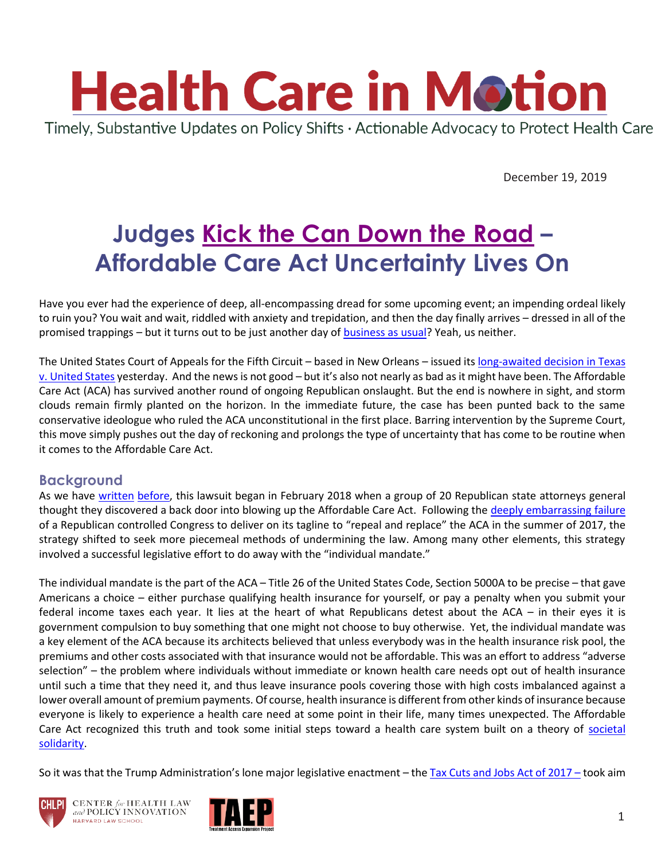

December 19, 2019

# **Judges [Kick the Can Down the Road](https://www.cagle.com/mike-keefe/2011/07/mike-keefe-cartoon-for-07282011) – Affordable Care Act Uncertainty Lives On**

Have you ever had the experience of deep, all-encompassing dread for some upcoming event; an impending ordeal likely to ruin you? You wait and wait, riddled with anxiety and trepidation, and then the day finally arrives – dressed in all of the promised trappings – but it turns out to be just another day of [business as usual?](https://www.youtube.com/watch?v=FsYqf3pg8gE) Yeah, us neither.

The United States Court of Appeals for the Fifth Circuit – based in New Orleans – issued its long-awaited decision in Texas [v. United States](http://www.ca5.uscourts.gov/opinions/pub/19/19-10011-CV0.pdf) yesterday. And the news is not good – but it's also not nearly as bad as it might have been. The Affordable Care Act (ACA) has survived another round of ongoing Republican onslaught. But the end is nowhere in sight, and storm clouds remain firmly planted on the horizon. In the immediate future, the case has been punted back to the same conservative ideologue who ruled the ACA unconstitutional in the first place. Barring intervention by the Supreme Court, this move simply pushes out the day of reckoning and prolongs the type of uncertainty that has come to be routine when it comes to the Affordable Care Act.

### **Background**

As we have [written](https://www.chlpi.org/wp-content/uploads/2013/12/HCIM_12_17_2018.pdf) [before,](https://www.chlpi.org/wp-content/uploads/2013/12/HCIM_1_18_2019.pdf) this lawsuit began in February 2018 when a group of 20 Republican state attorneys general thought they discovered a back door into blowing up the Affordable Care Act. Following the [deeply embarrassing failure](https://www.businessinsider.com/john-mccain-health-care-vote-video-breakdown-2017-7) of a Republican controlled Congress to deliver on its tagline to "repeal and replace" the ACA in the summer of 2017, the strategy shifted to seek more piecemeal methods of undermining the law. Among many other elements, this strategy involved a successful legislative effort to do away with the "individual mandate."

The individual mandate is the part of the ACA – Title 26 of the United States Code, Section 5000A to be precise – that gave Americans a choice – either purchase qualifying health insurance for yourself, or pay a penalty when you submit your federal income taxes each year. It lies at the heart of what Republicans detest about the ACA – in their eyes it is government compulsion to buy something that one might not choose to buy otherwise. Yet, the individual mandate was a key element of the ACA because its architects believed that unless everybody was in the health insurance risk pool, the premiums and other costs associated with that insurance would not be affordable. This was an effort to address "adverse selection" – the problem where individuals without immediate or known health care needs opt out of health insurance until such a time that they need it, and thus leave insurance pools covering those with high costs imbalanced against a lower overall amount of premium payments. Of course, health insurance is different from other kinds of insurance because everyone is likely to experience a health care need at some point in their life, many times unexpected. The Affordable Care Act recognized this truth and took some initial steps toward a health care system built on a theory of societal [solidarity.](https://pdfs.semanticscholar.org/0c55/d934adc95b89b6c6dbbd9b3aa940380d4797.pdf)

So it was that the Trump Administration's lone major legislative enactment – the [Tax Cuts and Jobs Act of 2017](https://www.congress.gov/115/bills/hr1/BILLS-115hr1enr.pdf) – took aim





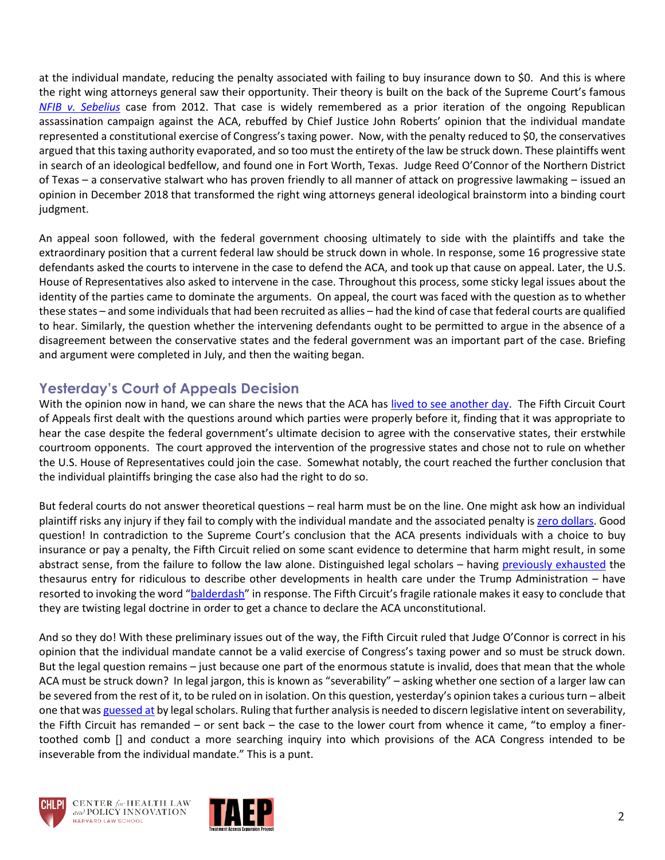at the individual mandate, reducing the penalty associated with failing to buy insurance down to \$0. And this is where the right wing attorneys general saw their opportunity. Their theory is built on the back of the Supreme Court's famous *[NFIB v. Sebelius](https://www.oyez.org/cases/2011/11-393)* case from 2012. That case is widely remembered as a prior iteration of the ongoing Republican assassination campaign against the ACA, rebuffed by Chief Justice John Roberts' opinion that the individual mandate represented a constitutional exercise of Congress's taxing power. Now, with the penalty reduced to \$0, the conservatives argued that this taxing authority evaporated, and so too must the entirety of the law be struck down. These plaintiffs went in search of an ideological bedfellow, and found one in Fort Worth, Texas. Judge Reed O'Connor of the Northern District of Texas – a conservative stalwart who has proven friendly to all manner of attack on progressive lawmaking – issued an opinion in December 2018 that transformed the right wing attorneys general ideological brainstorm into a binding court judgment.

An appeal soon followed, with the federal government choosing ultimately to side with the plaintiffs and take the extraordinary position that a current federal law should be struck down in whole. In response, some 16 progressive state defendants asked the courts to intervene in the case to defend the ACA, and took up that cause on appeal. Later, the U.S. House of Representatives also asked to intervene in the case. Throughout this process, some sticky legal issues about the identity of the parties came to dominate the arguments. On appeal, the court was faced with the question as to whether these states – and some individuals that had been recruited as allies – had the kind of case that federal courts are qualified to hear. Similarly, the question whether the intervening defendants ought to be permitted to argue in the absence of a disagreement between the conservative states and the federal government was an important part of the case. Briefing and argument were completed in July, and then the waiting began.

## **Yesterday's Court of Appeals Decision**

With the opinion now in hand, we can share the news that the ACA has lived [to see another day.](https://www.youtube.com/watch?v=VlbaJA7aO9M) The Fifth Circuit Court of Appeals first dealt with the questions around which parties were properly before it, finding that it was appropriate to hear the case despite the federal government's ultimate decision to agree with the conservative states, their erstwhile courtroom opponents. The court approved the intervention of the progressive states and chose not to rule on whether the U.S. House of Representatives could join the case. Somewhat notably, the court reached the further conclusion that the individual plaintiffs bringing the case also had the right to do so.

But federal courts do not answer theoretical questions – real harm must be on the line. One might ask how an individual plaintiff risks any injury if they fail to comply with the individual mandate and the associated penalty i[s zero dollars.](https://giphy.com/embed/l2Je8kAWvC2ngLf2w) Good question! In contradiction to the Supreme Court's conclusion that the ACA presents individuals with a choice to buy insurance or pay a penalty, the Fifth Circuit relied on some scant evidence to determine that harm might result, in some abstract sense, from the failure to follow the law alone. Distinguished legal scholars – having [previously](https://twitter.com/nicholas_bagley/status/956574420117655554?s=20) exhausted the thesaurus entry for ridiculous to describe other developments in health care under the Trump Administration – have resorted to invoking the word "[balderdash](https://twitter.com/nicholas_bagley/status/1207684726288535554?s=20)" in response. The Fifth Circuit's fragile rationale makes it easy to conclude that they are twisting legal doctrine in order to get a chance to declare the ACA unconstitutional.

And so they do! With these preliminary issues out of the way, the Fifth Circuit ruled that Judge O'Connor is correct in his opinion that the individual mandate cannot be a valid exercise of Congress's taxing power and so must be struck down. But the legal question remains – just because one part of the enormous statute is invalid, does that mean that the whole ACA must be struck down? In legal jargon, this is known as "severability" – asking whether one section of a larger law can be severed from the rest of it, to be ruled on in isolation. On this question, yesterday's opinion takes a curious turn – albeit one that wa[s guessed at](https://reason.com/2019/12/16/where-is-the-fifth-circuits-opinion-in-the-texas-aca-case/?utm_source=dlvr.it&utm_medium=twitter) by legal scholars. Ruling that further analysis is needed to discern legislative intent on severability, the Fifth Circuit has remanded – or sent back – the case to the lower court from whence it came, "to employ a finertoothed comb [] and conduct a more searching inquiry into which provisions of the ACA Congress intended to be inseverable from the individual mandate." This is a punt.